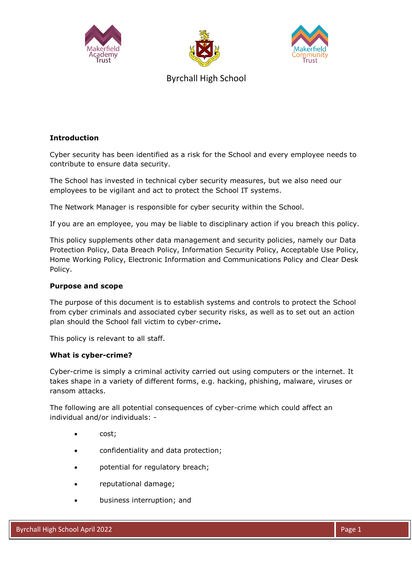





Byrchall High School

# **Introduction**

Cyber security has been identified as a risk for the School and every employee needs to contribute to ensure data security.

The School has invested in technical cyber security measures, but we also need our employees to be vigilant and act to protect the School IT systems.

The Network Manager is responsible for cyber security within the School*.*

If you are an employee, you may be liable to disciplinary action if you breach this policy.

This policy supplements other data management and security policies, namely our Data Protection Policy, Data Breach Policy, Information Security Policy, Acceptable Use Policy, Home Working Policy, Electronic Information and Communications Policy and Clear Desk Policy.

## **Purpose and scope**

The purpose of this document is to establish systems and controls to protect the School from cyber criminals and associated cyber security risks, as well as to set out an action plan should the School fall victim to cyber-crime**.**

This policy is relevant to all staff.

### **What is cyber-crime?**

Cyber-crime is simply a criminal activity carried out using computers or the internet. It takes shape in a variety of different forms, e.g. hacking, phishing, malware, viruses or ransom attacks.

The following are all potential consequences of cyber-crime which could affect an individual and/or individuals: -

- cost;
- confidentiality and data protection;
- potential for regulatory breach;
- reputational damage;
- business interruption; and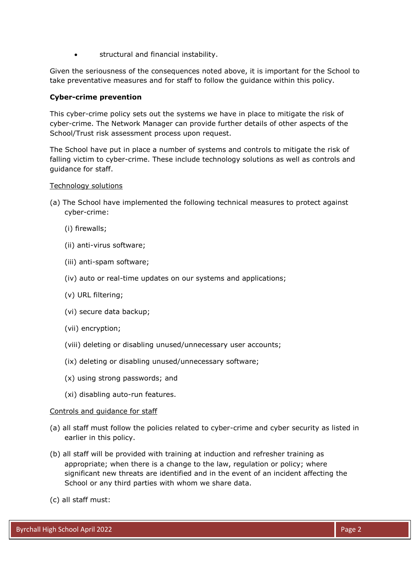structural and financial instability.

Given the seriousness of the consequences noted above, it is important for the School to take preventative measures and for staff to follow the guidance within this policy.

## **Cyber-crime prevention**

This cyber-crime policy sets out the systems we have in place to mitigate the risk of cyber-crime. The Network Manager can provide further details of other aspects of the School/Trust risk assessment process upon request.

The School have put in place a number of systems and controls to mitigate the risk of falling victim to cyber-crime. These include technology solutions as well as controls and guidance for staff.

### Technology solutions

- (a) The School have implemented the following technical measures to protect against cyber-crime:
	- (i) firewalls;
	- (ii) anti-virus software;
	- (iii) anti-spam software;
	- (iv) auto or real-time updates on our systems and applications;
	- (v) URL filtering;
	- (vi) secure data backup;
	- (vii) encryption;
	- (viii) deleting or disabling unused/unnecessary user accounts;
	- (ix) deleting or disabling unused/unnecessary software;
	- (x) using strong passwords; and
	- (xi) disabling auto-run features.

### Controls and guidance for staff

- (a) all staff must follow the policies related to cyber-crime and cyber security as listed in earlier in this policy.
- (b) all staff will be provided with training at induction and refresher training as appropriate; when there is a change to the law, regulation or policy; where significant new threats are identified and in the event of an incident affecting the School or any third parties with whom we share data.
- (c) all staff must: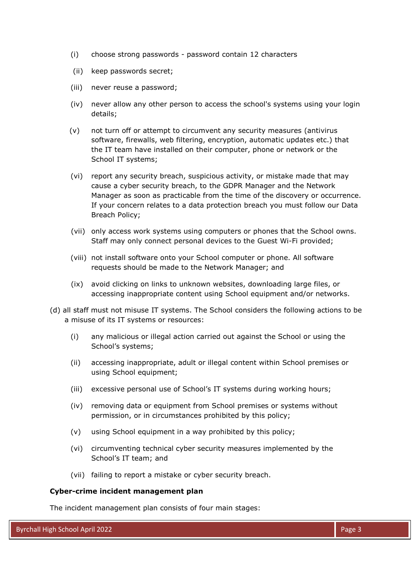- (i) choose strong passwords password contain 12 characters
- (ii) keep passwords secret;
- (iii) never reuse a password;
- (iv) never allow any other person to access the school's systems using your login details;
- (v) not turn off or attempt to circumvent any security measures (antivirus software, firewalls, web filtering, encryption, automatic updates etc.) that the IT team have installed on their computer, phone or network or the School IT systems;
- (vi) report any security breach, suspicious activity, or mistake made that may cause a cyber security breach, to th*e* GDPR Manager and the Network Manager as soon as practicable from the time of the discovery or occurrence. If your concern relates to a data protection breach you must follow our Data Breach Policy;
- (vii) only access work systems using computers or phones that the School owns. Staff may only connect personal devices to the Guest Wi-Fi provided;
- (viii) not install software onto your School computer or phone. All software requests should be made to the Network Manager; and
- (ix) avoid clicking on links to unknown websites, downloading large files, or accessing inappropriate content using School equipment and/or networks.
- (d) all staff must not misuse IT systems. The School considers the following actions to be a misuse of its IT systems or resources:
	- (i) any malicious or illegal action carried out against the School or using the School's systems;
	- (ii) accessing inappropriate, adult or illegal content within School premises or using School equipment;
	- (iii) excessive personal use of School's IT systems during working hours;
	- (iv) removing data or equipment from School premises or systems without permission, or in circumstances prohibited by this policy;
	- (v) using School equipment in a way prohibited by this policy;
	- (vi) circumventing technical cyber security measures implemented by the School's IT team; and
	- (vii) failing to report a mistake or cyber security breach.

#### **Cyber-crime incident management plan**

The incident management plan consists of four main stages: